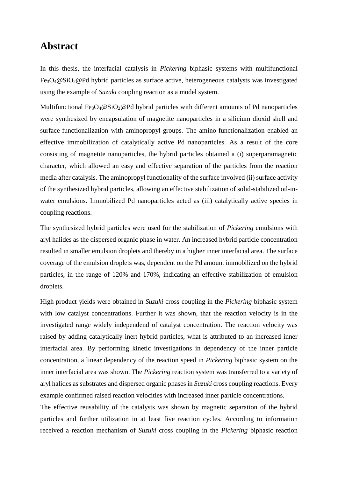## **Abstract**

In this thesis, the interfacial catalysis in *Pickering* biphasic systems with multifunctional Fe3O4@SiO2@Pd hybrid particles as surface active, heterogeneous catalysts was investigated using the example of *Suzuki* coupling reaction as a model system.

Multifunctional Fe<sub>3</sub>O<sub>4</sub>@SiO<sub>2</sub>@Pd hybrid particles with different amounts of Pd nanoparticles were synthesized by encapsulation of magnetite nanoparticles in a silicium dioxid shell and surface-functionalization with aminopropyl-groups. The amino-functionalization enabled an effective immobilization of catalytically active Pd nanoparticles. As a result of the core consisting of magnetite nanoparticles, the hybrid particles obtained a (i) superparamagnetic character, which allowed an easy and effective separation of the particles from the reaction media after catalysis. The aminopropyl functionality of the surface involved (ii) surface activity of the synthesized hybrid particles, allowing an effective stabilization of solid-stabilized oil-inwater emulsions. Immobilized Pd nanoparticles acted as (iii) catalytically active species in coupling reactions.

The synthesized hybrid particles were used for the stabilization of *Pickering* emulsions with aryl halides as the dispersed organic phase in water. An increased hybrid particle concentration resulted in smaller emulsion droplets and thereby in a higher inner interfacial area. The surface coverage of the emulsion droplets was, dependent on the Pd amount immobilized on the hybrid particles, in the range of 120% and 170%, indicating an effective stabilization of emulsion droplets.

High product yields were obtained in *Suzuki* cross coupling in the *Pickering* biphasic system with low catalyst concentrations. Further it was shown, that the reaction velocity is in the investigated range widely independend of catalyst concentration. The reaction velocity was raised by adding catalytically inert hybrid particles, what is attributed to an increased inner interfacial area. By performing kinetic investigations in dependency of the inner particle concentration, a linear dependency of the reaction speed in *Pickering* biphasic system on the inner interfacial area was shown. The *Pickering* reaction system was transferred to a variety of aryl halides as substrates and dispersed organic phases in *Suzuki* cross coupling reactions. Every example confirmed raised reaction velocities with increased inner particle concentrations.

The effective reusability of the catalysts was shown by magnetic separation of the hybrid particles and further utilization in at least five reaction cycles. According to information received a reaction mechanism of *Suzuki* cross coupling in the *Pickering* biphasic reaction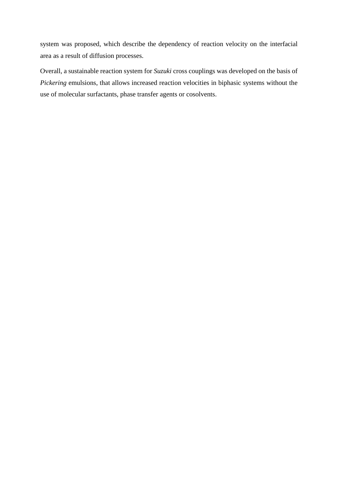system was proposed, which describe the dependency of reaction velocity on the interfacial area as a result of diffusion processes.

Overall, a sustainable reaction system for *Suzuki* cross couplings was developed on the basis of *Pickering* emulsions, that allows increased reaction velocities in biphasic systems without the use of molecular surfactants, phase transfer agents or cosolvents.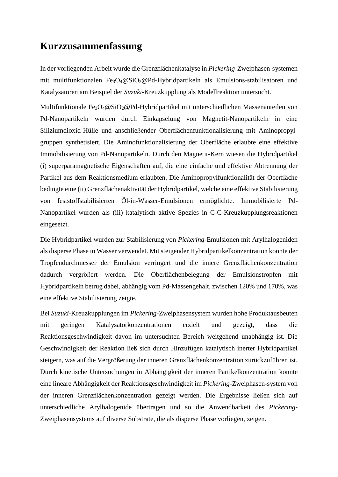## **Kurzzusammenfassung**

In der vorliegenden Arbeit wurde die Grenzflächenkatalyse in *Pickering*-Zweiphasen-systemen mit multifunktionalen Fe3O4@SiO2@Pd-Hybridpartikeln als Emulsions-stabilisatoren und Katalysatoren am Beispiel der *Suzuki*-Kreuzkupplung als Modellreaktion untersucht.

Multifunktionale Fe3O4@SiO2@Pd-Hybridpartikel mit unterschiedlichen Massenanteilen von Pd-Nanopartikeln wurden durch Einkapselung von Magnetit-Nanopartikeln in eine Siliziumdioxid-Hülle und anschließender Oberflächenfunktionalisierung mit Aminopropylgruppen synthetisiert. Die Aminofunktionalisierung der Oberfläche erlaubte eine effektive Immobilisierung von Pd-Nanopartikeln. Durch den Magnetit-Kern wiesen die Hybridpartikel (i) superparamagnetische Eigenschaften auf, die eine einfache und effektive Abtrennung der Partikel aus dem Reaktionsmedium erlaubten. Die Aminopropylfunktionalität der Oberfläche bedingte eine (ii) Grenzflächenaktivität der Hybridpartikel, welche eine effektive Stabilisierung von feststoffstabilisierten Öl-in-Wasser-Emulsionen ermöglichte. Immobilisierte Pd-Nanopartikel wurden als (iii) katalytisch aktive Spezies in C-C-Kreuzkupplungsreaktionen eingesetzt.

Die Hybridpartikel wurden zur Stabilisierung von *Pickering*-Emulsionen mit Arylhalogeniden als disperse Phase in Wasser verwendet. Mit steigender Hybridpartikelkonzentration konnte der Tropfendurchmesser der Emulsion verringert und die innere Grenzflächenkonzentration dadurch vergrößert werden. Die Oberflächenbelegung der Emulsionstropfen mit Hybridpartikeln betrug dabei, abhängig vom Pd-Massengehalt, zwischen 120% und 170%, was eine effektive Stabilisierung zeigte.

Bei *Suzuki*-Kreuzkupplungen im *Pickering*-Zweiphasensystem wurden hohe Produktausbeuten mit geringen Katalysatorkonzentrationen erzielt und gezeigt, dass die Reaktionsgeschwindigkeit davon im untersuchten Bereich weitgehend unabhängig ist. Die Geschwindigkeit der Reaktion ließ sich durch Hinzufügen katalytisch inerter Hybridpartikel steigern, was auf die Vergrößerung der inneren Grenzflächenkonzentration zurückzuführen ist. Durch kinetische Untersuchungen in Abhängigkeit der inneren Partikelkonzentration konnte eine lineare Abhängigkeit der Reaktionsgeschwindigkeit im *Pickering*-Zweiphasen-system von der inneren Grenzflächenkonzentration gezeigt werden. Die Ergebnisse ließen sich auf unterschiedliche Arylhalogenide übertragen und so die Anwendbarkeit des *Pickering*-Zweiphasensystems auf diverse Substrate, die als disperse Phase vorliegen, zeigen.